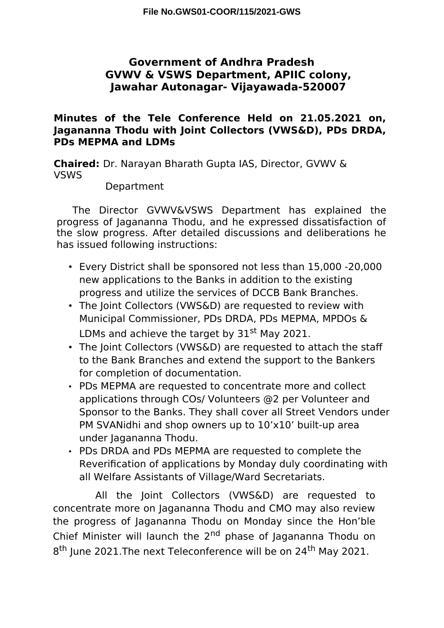# **Government of Andhra Pradesh GVWV & VSWS Department, APIIC colony, Jawahar Autonagar- Vijayawada-520007**

## **Minutes of the Tele Conference Held on 21.05.2021 on, Jagananna Thodu with Joint Collectors (VWS&D), PDs DRDA, PDs MEPMA and LDMs**

**Chaired:** Dr. Narayan Bharath Gupta IAS, Director, GVWV & VSWS

#### Department

The Director GVWV&VSWS Department has explained the progress of Jagananna Thodu, and he expressed dissatisfaction of the slow progress. After detailed discussions and deliberations he has issued following instructions:

- Every District shall be sponsored not less than 15,000 -20,000 new applications to the Banks in addition to the existing progress and utilize the services of DCCB Bank Branches.
- The Joint Collectors (VWS&D) are requested to review with Municipal Commissioner, PDs DRDA, PDs MEPMA, MPDOs & LDMs and achieve the target by 31<sup>st</sup> May 2021.
- The Joint Collectors (VWS&D) are requested to attach the staff to the Bank Branches and extend the support to the Bankers for completion of documentation.
- PDs MEPMA are requested to concentrate more and collect applications through COs/ Volunteers @2 per Volunteer and Sponsor to the Banks. They shall cover all Street Vendors under PM SVANidhi and shop owners up to  $10'x10'$  built-up area under Jagananna Thodu.
- PDs DRDA and PDs MEPMA are requested to complete the Reverification of applications by Monday duly coordinating with all Welfare Assistants of Village/Ward Secretariats.

All the Joint Collectors (VWS&D) are requested to concentrate more on Jagananna Thodu and CMO may also review the progress of Jagananna Thodu on Monday since the Hon'ble Chief Minister will launch the 2<sup>nd</sup> phase of Jagananna Thodu on 8<sup>th</sup> June 2021. The next Teleconference will be on 24<sup>th</sup> May 2021.